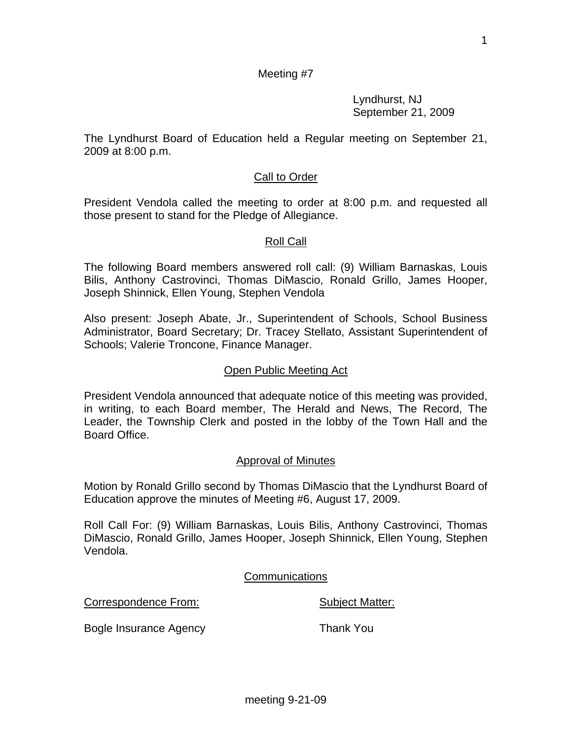1

# Meeting #7

 Lyndhurst, NJ September 21, 2009

The Lyndhurst Board of Education held a Regular meeting on September 21, 2009 at 8:00 p.m.

## Call to Order

President Vendola called the meeting to order at 8:00 p.m. and requested all those present to stand for the Pledge of Allegiance.

### Roll Call

The following Board members answered roll call: (9) William Barnaskas, Louis Bilis, Anthony Castrovinci, Thomas DiMascio, Ronald Grillo, James Hooper, Joseph Shinnick, Ellen Young, Stephen Vendola

Also present: Joseph Abate, Jr., Superintendent of Schools, School Business Administrator, Board Secretary; Dr. Tracey Stellato, Assistant Superintendent of Schools; Valerie Troncone, Finance Manager.

#### Open Public Meeting Act

President Vendola announced that adequate notice of this meeting was provided, in writing, to each Board member, The Herald and News, The Record, The Leader, the Township Clerk and posted in the lobby of the Town Hall and the Board Office.

#### Approval of Minutes

Motion by Ronald Grillo second by Thomas DiMascio that the Lyndhurst Board of Education approve the minutes of Meeting #6, August 17, 2009.

Roll Call For: (9) William Barnaskas, Louis Bilis, Anthony Castrovinci, Thomas DiMascio, Ronald Grillo, James Hooper, Joseph Shinnick, Ellen Young, Stephen Vendola.

#### **Communications**

Correspondence From: Subject Matter:

Bogle Insurance Agency **Thank You**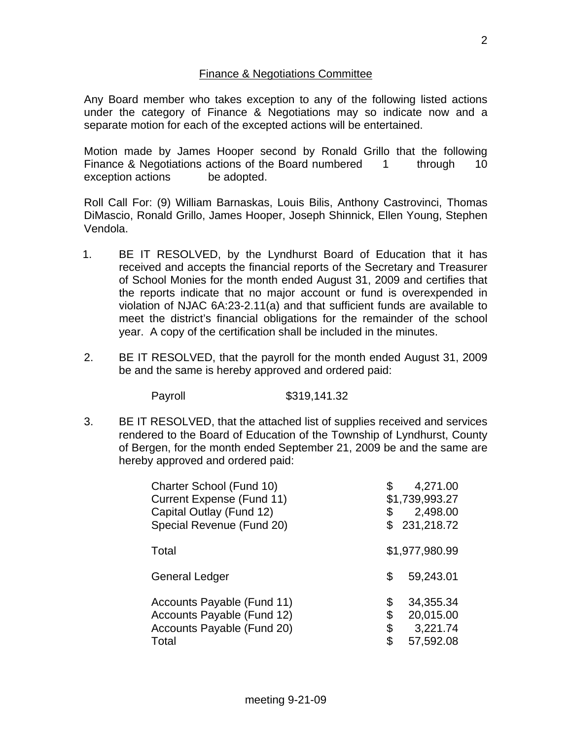## Finance & Negotiations Committee

Any Board member who takes exception to any of the following listed actions under the category of Finance & Negotiations may so indicate now and a separate motion for each of the excepted actions will be entertained.

Motion made by James Hooper second by Ronald Grillo that the following Finance & Negotiations actions of the Board numbered 1 through 10 exception actions be adopted.

Roll Call For: (9) William Barnaskas, Louis Bilis, Anthony Castrovinci, Thomas DiMascio, Ronald Grillo, James Hooper, Joseph Shinnick, Ellen Young, Stephen Vendola.

- 1. BE IT RESOLVED, by the Lyndhurst Board of Education that it has received and accepts the financial reports of the Secretary and Treasurer of School Monies for the month ended August 31, 2009 and certifies that the reports indicate that no major account or fund is overexpended in violation of NJAC 6A:23-2.11(a) and that sufficient funds are available to meet the district's financial obligations for the remainder of the school year. A copy of the certification shall be included in the minutes.
- 2. BE IT RESOLVED, that the payroll for the month ended August 31, 2009 be and the same is hereby approved and ordered paid:

Payroll \$319,141.32

3. BE IT RESOLVED, that the attached list of supplies received and services rendered to the Board of Education of the Township of Lyndhurst, County of Bergen, for the month ended September 21, 2009 be and the same are hereby approved and ordered paid:

| Charter School (Fund 10)<br>Current Expense (Fund 11)<br>Capital Outlay (Fund 12)<br>Special Revenue (Fund 20) | \$                   | 4,271.00<br>\$1,739,993.27<br>2,498.00<br>231,218.72 |
|----------------------------------------------------------------------------------------------------------------|----------------------|------------------------------------------------------|
| Total                                                                                                          |                      | \$1,977,980.99                                       |
| General Ledger                                                                                                 | \$                   | 59,243.01                                            |
| Accounts Payable (Fund 11)<br>Accounts Payable (Fund 12)<br>Accounts Payable (Fund 20)<br>Total                | \$<br>\$<br>\$<br>\$ | 34,355.34<br>20,015.00<br>3,221.74<br>57,592.08      |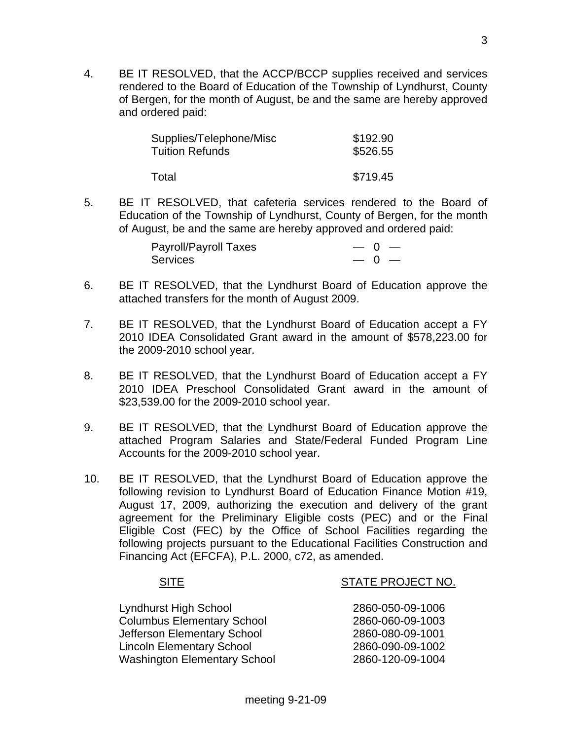4. BE IT RESOLVED, that the ACCP/BCCP supplies received and services rendered to the Board of Education of the Township of Lyndhurst, County of Bergen, for the month of August, be and the same are hereby approved and ordered paid:

| Supplies/Telephone/Misc | \$192.90 |
|-------------------------|----------|
| <b>Tuition Refunds</b>  | \$526.55 |
| Total                   | \$719.45 |

5. BE IT RESOLVED, that cafeteria services rendered to the Board of Education of the Township of Lyndhurst, County of Bergen, for the month of August, be and the same are hereby approved and ordered paid:

| Payroll/Payroll Taxes | $- 0 -$      |
|-----------------------|--------------|
| <b>Services</b>       | $\sim 0$ $-$ |

- 6. BE IT RESOLVED, that the Lyndhurst Board of Education approve the attached transfers for the month of August 2009.
- 7. BE IT RESOLVED, that the Lyndhurst Board of Education accept a FY 2010 IDEA Consolidated Grant award in the amount of \$578,223.00 for the 2009-2010 school year.
- 8. BE IT RESOLVED, that the Lyndhurst Board of Education accept a FY 2010 IDEA Preschool Consolidated Grant award in the amount of \$23,539.00 for the 2009-2010 school year.
- 9. BE IT RESOLVED, that the Lyndhurst Board of Education approve the attached Program Salaries and State/Federal Funded Program Line Accounts for the 2009-2010 school year.
- 10. BE IT RESOLVED, that the Lyndhurst Board of Education approve the following revision to Lyndhurst Board of Education Finance Motion #19, August 17, 2009, authorizing the execution and delivery of the grant agreement for the Preliminary Eligible costs (PEC) and or the Final Eligible Cost (FEC) by the Office of School Facilities regarding the following projects pursuant to the Educational Facilities Construction and Financing Act (EFCFA), P.L. 2000, c72, as amended.

## SITE SITE STATE PROJECT NO.

| Lyndhurst High School               | 2860-050-09-1006 |
|-------------------------------------|------------------|
| <b>Columbus Elementary School</b>   | 2860-060-09-1003 |
| Jefferson Elementary School         | 2860-080-09-1001 |
| <b>Lincoln Elementary School</b>    | 2860-090-09-1002 |
| <b>Washington Elementary School</b> | 2860-120-09-1004 |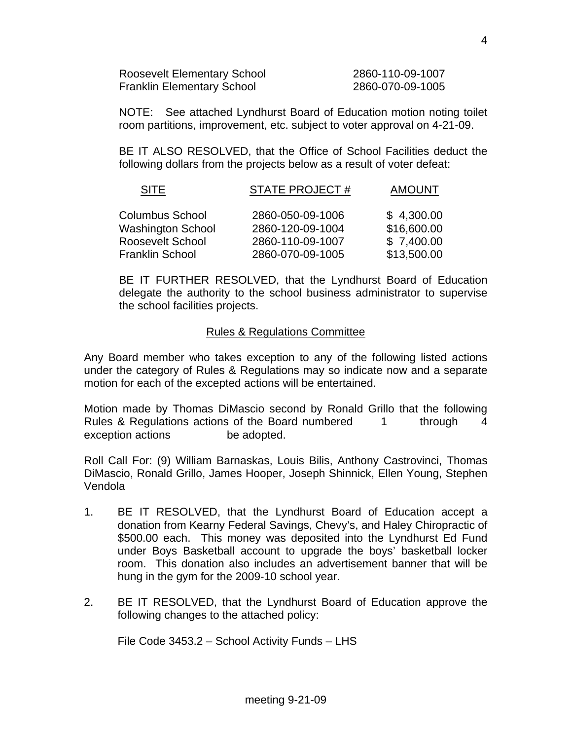| <b>Roosevelt Elementary School</b> | 2860-110-09-1007 |
|------------------------------------|------------------|
| <b>Franklin Elementary School</b>  | 2860-070-09-1005 |

 NOTE: See attached Lyndhurst Board of Education motion noting toilet room partitions, improvement, etc. subject to voter approval on 4-21-09.

 BE IT ALSO RESOLVED, that the Office of School Facilities deduct the following dollars from the projects below as a result of voter defeat:

| <b>SITE</b>              | <b>STATE PROJECT#</b> | <b>AMOUNT</b> |
|--------------------------|-----------------------|---------------|
| <b>Columbus School</b>   | 2860-050-09-1006      | \$4,300.00    |
| <b>Washington School</b> | 2860-120-09-1004      | \$16,600.00   |
| <b>Roosevelt School</b>  | 2860-110-09-1007      | \$7,400.00    |
| <b>Franklin School</b>   | 2860-070-09-1005      | \$13,500.00   |

 BE IT FURTHER RESOLVED, that the Lyndhurst Board of Education delegate the authority to the school business administrator to supervise the school facilities projects.

#### Rules & Regulations Committee

Any Board member who takes exception to any of the following listed actions under the category of Rules & Regulations may so indicate now and a separate motion for each of the excepted actions will be entertained.

Motion made by Thomas DiMascio second by Ronald Grillo that the following Rules & Regulations actions of the Board numbered 1 through 4 exception actions be adopted.

Roll Call For: (9) William Barnaskas, Louis Bilis, Anthony Castrovinci, Thomas DiMascio, Ronald Grillo, James Hooper, Joseph Shinnick, Ellen Young, Stephen Vendola

- 1. BE IT RESOLVED, that the Lyndhurst Board of Education accept a donation from Kearny Federal Savings, Chevy's, and Haley Chiropractic of \$500.00 each. This money was deposited into the Lyndhurst Ed Fund under Boys Basketball account to upgrade the boys' basketball locker room. This donation also includes an advertisement banner that will be hung in the gym for the 2009-10 school year.
- 2. BE IT RESOLVED, that the Lyndhurst Board of Education approve the following changes to the attached policy:

File Code 3453.2 – School Activity Funds – LHS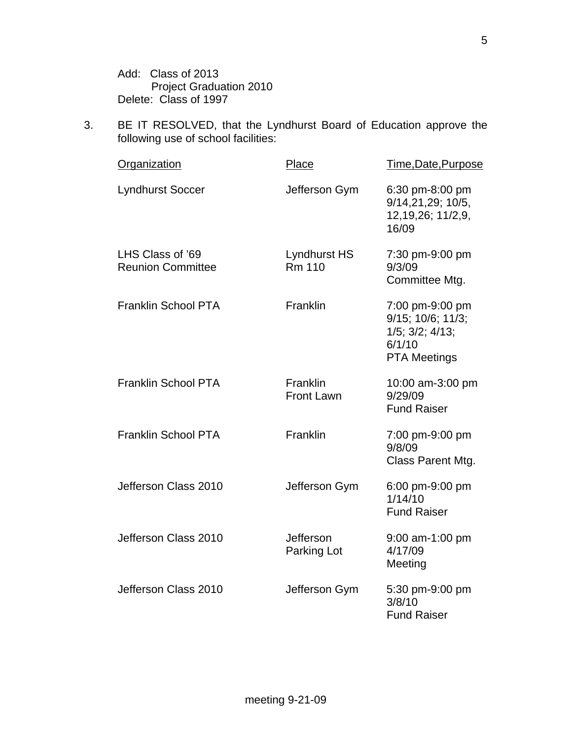Add: Class of 2013 Project Graduation 2010 Delete: Class of 1997

3. BE IT RESOLVED, that the Lyndhurst Board of Education approve the following use of school facilities:

| <b>Organization</b>                          | <b>Place</b>                         | Time, Date, Purpose                                                                               |
|----------------------------------------------|--------------------------------------|---------------------------------------------------------------------------------------------------|
| <b>Lyndhurst Soccer</b>                      | Jefferson Gym                        | 6:30 pm-8:00 pm<br>9/14,21,29; 10/5,<br>12, 19, 26; 11/2, 9,<br>16/09                             |
| LHS Class of '69<br><b>Reunion Committee</b> | <b>Lyndhurst HS</b><br><b>Rm 110</b> | 7:30 pm-9:00 pm<br>9/3/09<br>Committee Mtg.                                                       |
| <b>Franklin School PTA</b>                   | Franklin                             | 7:00 pm-9:00 pm<br>9/15; 10/6; 11/3;<br>$1/5$ ; $3/2$ ; $4/13$ ;<br>6/1/10<br><b>PTA Meetings</b> |
| <b>Franklin School PTA</b>                   | Franklin<br><b>Front Lawn</b>        | 10:00 am-3:00 pm<br>9/29/09<br><b>Fund Raiser</b>                                                 |
| <b>Franklin School PTA</b>                   | Franklin                             | 7:00 pm-9:00 pm<br>9/8/09<br>Class Parent Mtg.                                                    |
| Jefferson Class 2010                         | Jefferson Gym                        | 6:00 pm-9:00 pm<br>1/14/10<br><b>Fund Raiser</b>                                                  |
| Jefferson Class 2010                         | Jefferson<br>Parking Lot             | 9:00 am-1:00 pm<br>4/17/09<br>Meeting                                                             |
| Jefferson Class 2010                         | Jefferson Gym                        | 5:30 pm-9:00 pm<br>3/8/10<br><b>Fund Raiser</b>                                                   |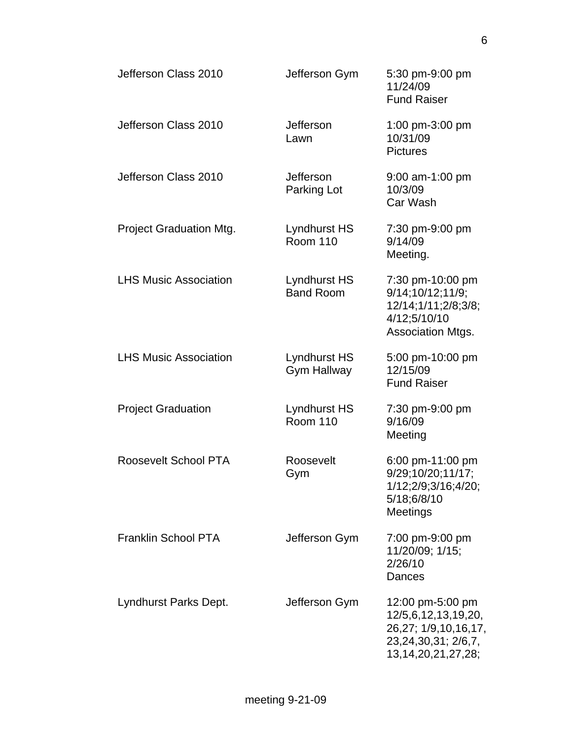| Jefferson Class 2010         | Jefferson Gym                             | 5:30 pm-9:00 pm<br>11/24/09<br><b>Fund Raiser</b>                                                                 |
|------------------------------|-------------------------------------------|-------------------------------------------------------------------------------------------------------------------|
| Jefferson Class 2010         | Jefferson<br>Lawn                         | 1:00 pm-3:00 pm<br>10/31/09<br><b>Pictures</b>                                                                    |
| Jefferson Class 2010         | <b>Jefferson</b><br>Parking Lot           | 9:00 am-1:00 pm<br>10/3/09<br>Car Wash                                                                            |
| Project Graduation Mtg.      | Lyndhurst HS<br><b>Room 110</b>           | 7:30 pm-9:00 pm<br>9/14/09<br>Meeting.                                                                            |
| <b>LHS Music Association</b> | Lyndhurst HS<br><b>Band Room</b>          | 7:30 pm-10:00 pm<br>9/14;10/12;11/9;<br>12/14;1/11;2/8;3/8;<br>4/12;5/10/10<br>Association Mtgs.                  |
| <b>LHS Music Association</b> | <b>Lyndhurst HS</b><br><b>Gym Hallway</b> | 5:00 pm-10:00 pm<br>12/15/09<br><b>Fund Raiser</b>                                                                |
| <b>Project Graduation</b>    | <b>Lyndhurst HS</b><br><b>Room 110</b>    | 7:30 pm-9:00 pm<br>9/16/09<br>Meeting                                                                             |
| <b>Roosevelt School PTA</b>  | Roosevelt<br>Gym                          | 6:00 pm-11:00 pm<br>9/29;10/20;11/17;<br>1/12;2/9;3/16;4/20;<br>5/18;6/8/10<br>Meetings                           |
| <b>Franklin School PTA</b>   | Jefferson Gym                             | 7:00 pm-9:00 pm<br>11/20/09; 1/15;<br>2/26/10<br>Dances                                                           |
| Lyndhurst Parks Dept.        | Jefferson Gym                             | 12:00 pm-5:00 pm<br>12/5,6,12,13,19,20,<br>26,27; 1/9,10,16,17,<br>23,24,30,31; 2/6,7,<br>13, 14, 20, 21, 27, 28; |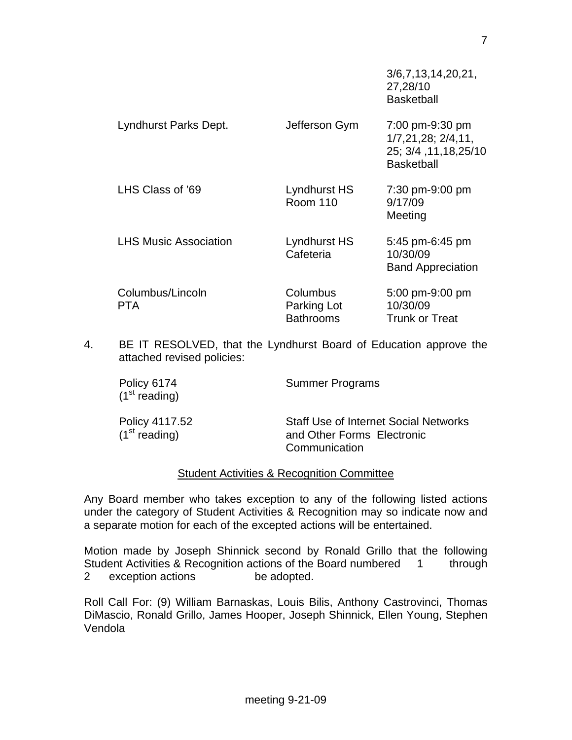|                                |                                             | 3/6,7,13,14,20,21,<br>27,28/10<br><b>Basketball</b>                                           |
|--------------------------------|---------------------------------------------|-----------------------------------------------------------------------------------------------|
| Lyndhurst Parks Dept.          | Jefferson Gym                               | 7:00 pm-9:30 pm<br>$1/7, 21, 28$ ; $2/4, 11$ ,<br>25; 3/4, 11, 18, 25/10<br><b>Basketball</b> |
| LHS Class of '69               | Lyndhurst HS<br><b>Room 110</b>             | 7:30 pm-9:00 pm<br>9/17/09<br>Meeting                                                         |
| <b>LHS Music Association</b>   | Lyndhurst HS<br>Cafeteria                   | $5:45$ pm-6:45 pm<br>10/30/09<br><b>Band Appreciation</b>                                     |
| Columbus/Lincoln<br><b>PTA</b> | Columbus<br>Parking Lot<br><b>Bathrooms</b> | 5:00 pm-9:00 pm<br>10/30/09<br><b>Trunk or Treat</b>                                          |

4. BE IT RESOLVED, that the Lyndhurst Board of Education approve the attached revised policies:

| Policy 6174<br>(1 <sup>st</sup> reading)    | <b>Summer Programs</b>                                                                      |
|---------------------------------------------|---------------------------------------------------------------------------------------------|
| Policy 4117.52<br>(1 <sup>st</sup> reading) | <b>Staff Use of Internet Social Networks</b><br>and Other Forms Electronic<br>Communication |

#### Student Activities & Recognition Committee

Any Board member who takes exception to any of the following listed actions under the category of Student Activities & Recognition may so indicate now and a separate motion for each of the excepted actions will be entertained.

Motion made by Joseph Shinnick second by Ronald Grillo that the following Student Activities & Recognition actions of the Board numbered 1 through 2 exception actions be adopted.

Roll Call For: (9) William Barnaskas, Louis Bilis, Anthony Castrovinci, Thomas DiMascio, Ronald Grillo, James Hooper, Joseph Shinnick, Ellen Young, Stephen Vendola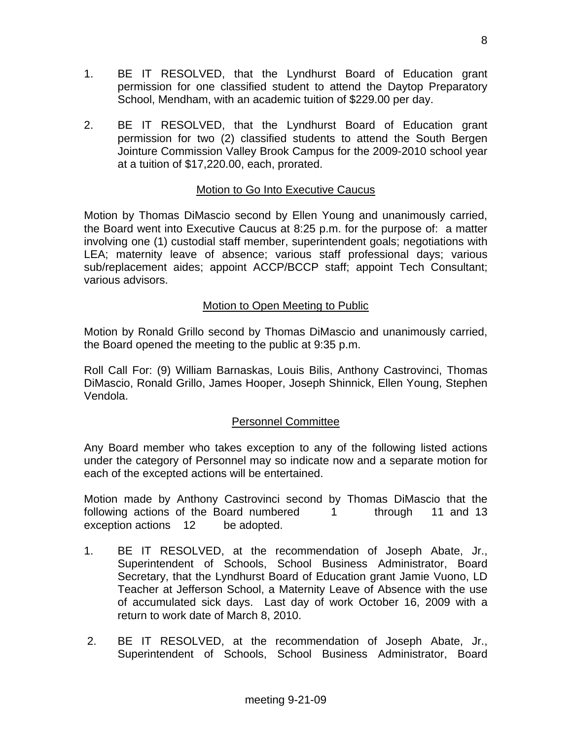- 1. BE IT RESOLVED, that the Lyndhurst Board of Education grant permission for one classified student to attend the Daytop Preparatory School, Mendham, with an academic tuition of \$229.00 per day.
- 2. BE IT RESOLVED, that the Lyndhurst Board of Education grant permission for two (2) classified students to attend the South Bergen Jointure Commission Valley Brook Campus for the 2009-2010 school year at a tuition of \$17,220.00, each, prorated.

## Motion to Go Into Executive Caucus

Motion by Thomas DiMascio second by Ellen Young and unanimously carried, the Board went into Executive Caucus at 8:25 p.m. for the purpose of: a matter involving one (1) custodial staff member, superintendent goals; negotiations with LEA; maternity leave of absence; various staff professional days; various sub/replacement aides; appoint ACCP/BCCP staff; appoint Tech Consultant; various advisors.

## Motion to Open Meeting to Public

Motion by Ronald Grillo second by Thomas DiMascio and unanimously carried, the Board opened the meeting to the public at 9:35 p.m.

Roll Call For: (9) William Barnaskas, Louis Bilis, Anthony Castrovinci, Thomas DiMascio, Ronald Grillo, James Hooper, Joseph Shinnick, Ellen Young, Stephen Vendola.

#### Personnel Committee

Any Board member who takes exception to any of the following listed actions under the category of Personnel may so indicate now and a separate motion for each of the excepted actions will be entertained.

Motion made by Anthony Castrovinci second by Thomas DiMascio that the following actions of the Board numbered 1 through 11 and 13 exception actions 12 be adopted.

- 1. BE IT RESOLVED, at the recommendation of Joseph Abate, Jr., Superintendent of Schools, School Business Administrator, Board Secretary, that the Lyndhurst Board of Education grant Jamie Vuono, LD Teacher at Jefferson School, a Maternity Leave of Absence with the use of accumulated sick days. Last day of work October 16, 2009 with a return to work date of March 8, 2010.
- 2. BE IT RESOLVED, at the recommendation of Joseph Abate, Jr., Superintendent of Schools, School Business Administrator, Board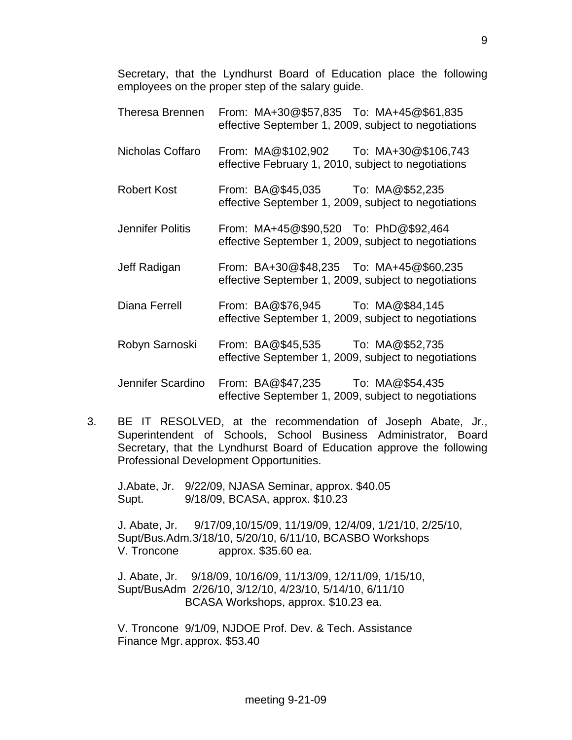Secretary, that the Lyndhurst Board of Education place the following employees on the proper step of the salary guide.

- Theresa Brennen From: MA+30@\$57,835 To: MA+45@\$61,835 effective September 1, 2009, subject to negotiations Nicholas Coffaro From: MA@\$102,902 To: MA+30@\$106,743 effective February 1, 2010, subject to negotiations Robert Kost From: BA@\$45,035 To: MA@\$52,235 effective September 1, 2009, subject to negotiations Jennifer Politis From: MA+45@\$90,520 To: PhD@\$92,464 effective September 1, 2009, subject to negotiations Jeff Radigan From: BA+30@\$48,235 To: MA+45@\$60,235 effective September 1, 2009, subject to negotiations Diana Ferrell From: BA@\$76,945 To: MA@\$84,145 effective September 1, 2009, subject to negotiations Robyn Sarnoski From: BA@\$45,535 To: MA@\$52,735 effective September 1, 2009, subject to negotiations Jennifer Scardino From: BA@\$47,235 To: MA@\$54,435 effective September 1, 2009, subject to negotiations
- 3. BE IT RESOLVED, at the recommendation of Joseph Abate, Jr., Superintendent of Schools, School Business Administrator, Board Secretary, that the Lyndhurst Board of Education approve the following Professional Development Opportunities.

 J.Abate, Jr. 9/22/09, NJASA Seminar, approx. \$40.05 Supt. 9/18/09, BCASA, approx. \$10.23

J. Abate, Jr. 9/17/09,10/15/09, 11/19/09, 12/4/09, 1/21/10, 2/25/10, Supt/Bus.Adm.3/18/10, 5/20/10, 6/11/10, BCASBO Workshops V. Troncone approx. \$35.60 ea.

 J. Abate, Jr. 9/18/09, 10/16/09, 11/13/09, 12/11/09, 1/15/10, Supt/BusAdm 2/26/10, 3/12/10, 4/23/10, 5/14/10, 6/11/10 BCASA Workshops, approx. \$10.23 ea.

 V. Troncone 9/1/09, NJDOE Prof. Dev. & Tech. Assistance Finance Mgr. approx. \$53.40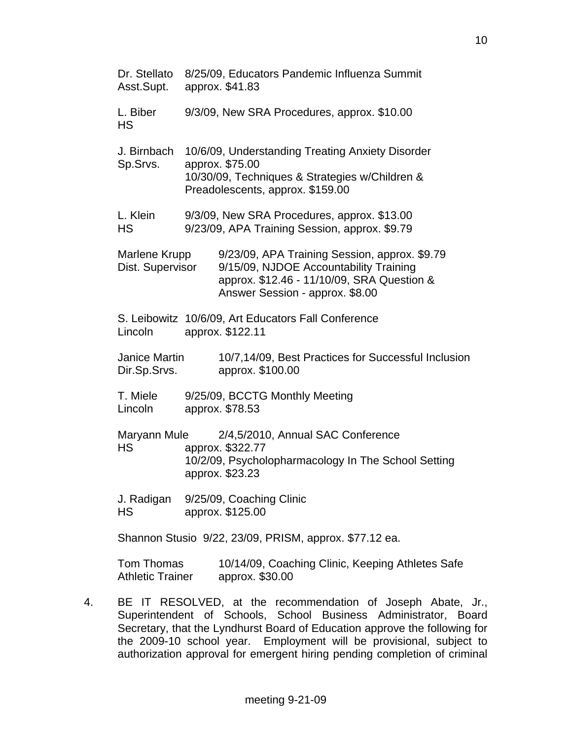| Dr. Stellato<br>Asst.Supt.            | 8/25/09, Educators Pandemic Influenza Summit<br>approx. \$41.83                                                                                                          |
|---------------------------------------|--------------------------------------------------------------------------------------------------------------------------------------------------------------------------|
| L. Biber<br><b>HS</b>                 | 9/3/09, New SRA Procedures, approx. \$10.00                                                                                                                              |
| J. Birnbach<br>Sp.Srvs.               | 10/6/09, Understanding Treating Anxiety Disorder<br>approx. \$75.00<br>10/30/09, Techniques & Strategies w/Children &<br>Preadolescents, approx. \$159.00                |
| L. Klein<br><b>HS</b>                 | 9/3/09, New SRA Procedures, approx. \$13.00<br>9/23/09, APA Training Session, approx. \$9.79                                                                             |
| Marlene Krupp<br>Dist. Supervisor     | 9/23/09, APA Training Session, approx. \$9.79<br>9/15/09, NJDOE Accountability Training<br>approx. \$12.46 - 11/10/09, SRA Question &<br>Answer Session - approx. \$8.00 |
| Lincoln                               | S. Leibowitz 10/6/09, Art Educators Fall Conference<br>approx. \$122.11                                                                                                  |
| Janice Martin<br>Dir.Sp.Srvs.         | 10/7,14/09, Best Practices for Successful Inclusion<br>approx. \$100.00                                                                                                  |
| T. Miele<br>Lincoln                   | 9/25/09, BCCTG Monthly Meeting<br>approx. \$78.53                                                                                                                        |
| Maryann Mule<br><b>HS</b>             | 2/4,5/2010, Annual SAC Conference<br>approx. \$322.77<br>10/2/09, Psycholopharmacology In The School Setting<br>approx. \$23.23                                          |
| J. Radigan<br><b>HS</b>               | 9/25/09, Coaching Clinic<br>approx. \$125.00                                                                                                                             |
|                                       | Shannon Stusio 9/22, 23/09, PRISM, approx. \$77.12 ea.                                                                                                                   |
| Tom Thomas<br><b>Athletic Trainer</b> | 10/14/09, Coaching Clinic, Keeping Athletes Safe<br>approx. \$30.00                                                                                                      |

4. BE IT RESOLVED, at the recommendation of Joseph Abate, Jr., Superintendent of Schools, School Business Administrator, Board Secretary, that the Lyndhurst Board of Education approve the following for the 2009-10 school year. Employment will be provisional, subject to authorization approval for emergent hiring pending completion of criminal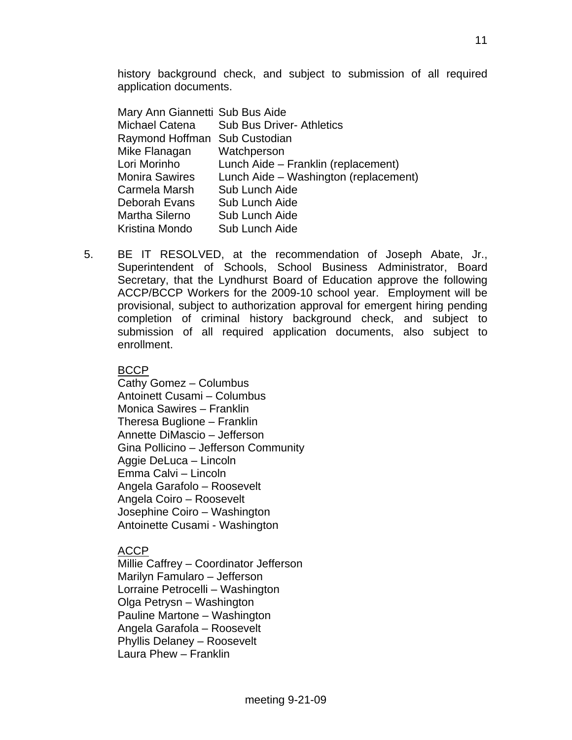history background check, and subject to submission of all required application documents.

| Mary Ann Giannetti Sub Bus Aide       |
|---------------------------------------|
| <b>Sub Bus Driver- Athletics</b>      |
| Raymond Hoffman Sub Custodian         |
| Watchperson                           |
| Lunch Aide - Franklin (replacement)   |
| Lunch Aide - Washington (replacement) |
| Sub Lunch Aide                        |
| Sub Lunch Aide                        |
| Sub Lunch Aide                        |
| Sub Lunch Aide                        |
|                                       |

5. BE IT RESOLVED, at the recommendation of Joseph Abate, Jr., Superintendent of Schools, School Business Administrator, Board Secretary, that the Lyndhurst Board of Education approve the following ACCP/BCCP Workers for the 2009-10 school year. Employment will be provisional, subject to authorization approval for emergent hiring pending completion of criminal history background check, and subject to submission of all required application documents, also subject to enrollment.

**BCCP** 

 Cathy Gomez – Columbus Antoinett Cusami – Columbus Monica Sawires – Franklin Theresa Buglione – Franklin Annette DiMascio – Jefferson Gina Pollicino – Jefferson Community Aggie DeLuca – Lincoln Emma Calvi – Lincoln Angela Garafolo – Roosevelt Angela Coiro – Roosevelt Josephine Coiro – Washington Antoinette Cusami - Washington

ACCP

 Millie Caffrey – Coordinator Jefferson Marilyn Famularo – Jefferson Lorraine Petrocelli – Washington Olga Petrysn – Washington Pauline Martone – Washington Angela Garafola – Roosevelt Phyllis Delaney – Roosevelt Laura Phew – Franklin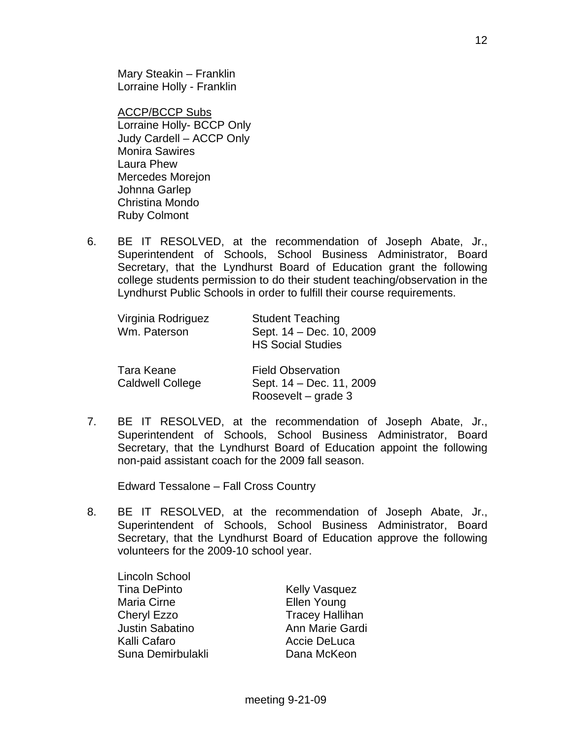Mary Steakin – Franklin Lorraine Holly - Franklin

**ACCP/BCCP Subs**  Lorraine Holly- BCCP Only Judy Cardell – ACCP Only Monira Sawires Laura Phew Mercedes Morejon Johnna Garlep Christina Mondo Ruby Colmont

 6. BE IT RESOLVED, at the recommendation of Joseph Abate, Jr., Superintendent of Schools, School Business Administrator, Board Secretary, that the Lyndhurst Board of Education grant the following college students permission to do their student teaching/observation in the Lyndhurst Public Schools in order to fulfill their course requirements.

| Virginia Rodriguez<br>Wm. Paterson    | <b>Student Teaching</b><br>Sept. 14 - Dec. 10, 2009<br><b>HS Social Studies</b> |
|---------------------------------------|---------------------------------------------------------------------------------|
| Tara Keane<br><b>Caldwell College</b> | <b>Field Observation</b><br>Sept. 14 - Dec. 11, 2009<br>Roosevelt – grade 3     |

 7. BE IT RESOLVED, at the recommendation of Joseph Abate, Jr., Superintendent of Schools, School Business Administrator, Board Secretary, that the Lyndhurst Board of Education appoint the following non-paid assistant coach for the 2009 fall season.

Edward Tessalone – Fall Cross Country

 8. BE IT RESOLVED, at the recommendation of Joseph Abate, Jr., Superintendent of Schools, School Business Administrator, Board Secretary, that the Lyndhurst Board of Education approve the following volunteers for the 2009-10 school year.

 Lincoln School Tina DePinto **Kelly Vasquez** Maria Cirne **Ellen Young**  Cheryl Ezzo Tracey Hallihan Justin Sabatino **Anni Marie Gardi** Kalli Cafaro **Accie DeLuca** Suna Demirbulakli **Dana McKeon**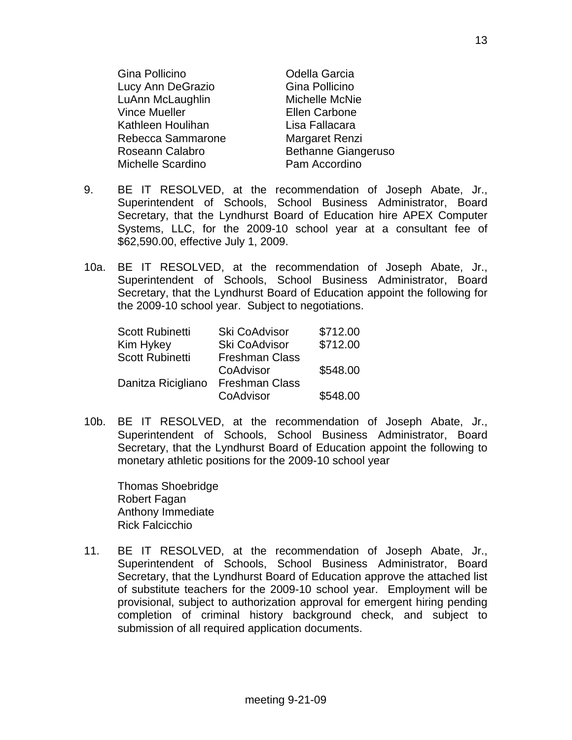| Gina Pollicino       | Odella Garcia              |  |
|----------------------|----------------------------|--|
| Lucy Ann DeGrazio    | Gina Pollicino             |  |
| LuAnn McLaughlin     | Michelle McNie             |  |
| <b>Vince Mueller</b> | <b>Ellen Carbone</b>       |  |
| Kathleen Houlihan    | Lisa Fallacara             |  |
| Rebecca Sammarone    | Margaret Renzi             |  |
| Roseann Calabro      | <b>Bethanne Giangeruso</b> |  |
| Michelle Scardino    | Pam Accordino              |  |

- 9. BE IT RESOLVED, at the recommendation of Joseph Abate, Jr., Superintendent of Schools, School Business Administrator, Board Secretary, that the Lyndhurst Board of Education hire APEX Computer Systems, LLC, for the 2009-10 school year at a consultant fee of \$62,590.00, effective July 1, 2009.
- 10a. BE IT RESOLVED, at the recommendation of Joseph Abate, Jr., Superintendent of Schools, School Business Administrator, Board Secretary, that the Lyndhurst Board of Education appoint the following for the 2009-10 school year. Subject to negotiations.

| <b>Scott Rubinetti</b> | Ski CoAdvisor         | \$712.00 |
|------------------------|-----------------------|----------|
| Kim Hykey              | Ski CoAdvisor         | \$712.00 |
| <b>Scott Rubinetti</b> | <b>Freshman Class</b> |          |
|                        | CoAdvisor             | \$548.00 |
| Danitza Ricigliano     | <b>Freshman Class</b> |          |
|                        | CoAdvisor             | \$548.00 |

10b. BE IT RESOLVED, at the recommendation of Joseph Abate, Jr., Superintendent of Schools, School Business Administrator, Board Secretary, that the Lyndhurst Board of Education appoint the following to monetary athletic positions for the 2009-10 school year

 Thomas Shoebridge Robert Fagan Anthony Immediate Rick Falcicchio

11. BE IT RESOLVED, at the recommendation of Joseph Abate, Jr., Superintendent of Schools, School Business Administrator, Board Secretary, that the Lyndhurst Board of Education approve the attached list of substitute teachers for the 2009-10 school year. Employment will be provisional, subject to authorization approval for emergent hiring pending completion of criminal history background check, and subject to submission of all required application documents.